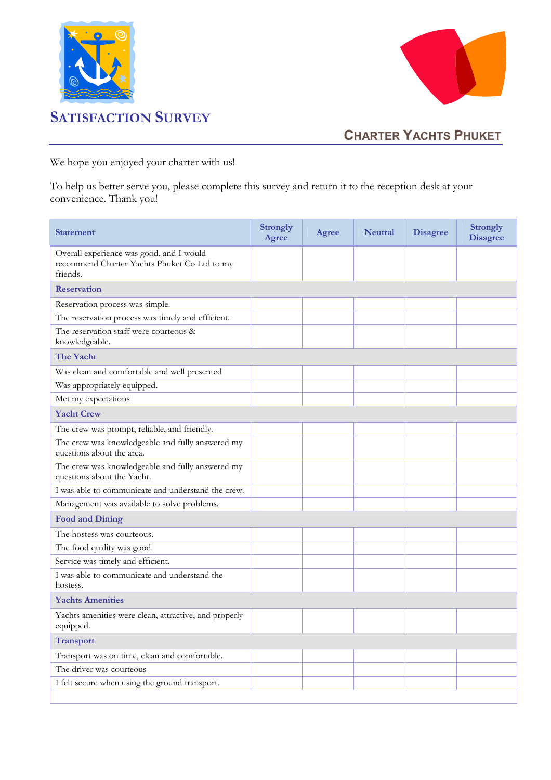



## CHARTER YACHTS PHUKET

We hope you enjoyed your charter with us!

To help us better serve you, please complete this survey and return it to the reception desk at your convenience. Thank you!

| Overall experience was good, and I would<br>recommend Charter Yachts Phuket Co Ltd to my<br>friends.<br><b>Reservation</b><br>Reservation process was simple.<br>The reservation process was timely and efficient.<br>The reservation staff were courteous &<br>knowledgeable.<br>The Yacht<br>Was clean and comfortable and well presented<br>Was appropriately equipped.<br>Met my expectations<br><b>Yacht Crew</b><br>The crew was prompt, reliable, and friendly.<br>The crew was knowledgeable and fully answered my<br>questions about the area.<br>The crew was knowledgeable and fully answered my<br>questions about the Yacht.<br>I was able to communicate and understand the crew.<br>Management was available to solve problems.<br><b>Food and Dining</b><br>The hostess was courteous.<br>The food quality was good.<br>Service was timely and efficient.<br>I was able to communicate and understand the<br>hostess.<br><b>Yachts Amenities</b><br>Yachts amenities were clean, attractive, and properly<br>equipped.<br><b>Transport</b> | <b>Statement</b>                              | <b>Strongly</b><br><b>Agree</b> | Agree | <b>Neutral</b> | <b>Disagree</b> | <b>Strongly</b><br><b>Disagree</b> |  |
|------------------------------------------------------------------------------------------------------------------------------------------------------------------------------------------------------------------------------------------------------------------------------------------------------------------------------------------------------------------------------------------------------------------------------------------------------------------------------------------------------------------------------------------------------------------------------------------------------------------------------------------------------------------------------------------------------------------------------------------------------------------------------------------------------------------------------------------------------------------------------------------------------------------------------------------------------------------------------------------------------------------------------------------------------------|-----------------------------------------------|---------------------------------|-------|----------------|-----------------|------------------------------------|--|
|                                                                                                                                                                                                                                                                                                                                                                                                                                                                                                                                                                                                                                                                                                                                                                                                                                                                                                                                                                                                                                                            |                                               |                                 |       |                |                 |                                    |  |
|                                                                                                                                                                                                                                                                                                                                                                                                                                                                                                                                                                                                                                                                                                                                                                                                                                                                                                                                                                                                                                                            |                                               |                                 |       |                |                 |                                    |  |
|                                                                                                                                                                                                                                                                                                                                                                                                                                                                                                                                                                                                                                                                                                                                                                                                                                                                                                                                                                                                                                                            |                                               |                                 |       |                |                 |                                    |  |
|                                                                                                                                                                                                                                                                                                                                                                                                                                                                                                                                                                                                                                                                                                                                                                                                                                                                                                                                                                                                                                                            |                                               |                                 |       |                |                 |                                    |  |
|                                                                                                                                                                                                                                                                                                                                                                                                                                                                                                                                                                                                                                                                                                                                                                                                                                                                                                                                                                                                                                                            |                                               |                                 |       |                |                 |                                    |  |
|                                                                                                                                                                                                                                                                                                                                                                                                                                                                                                                                                                                                                                                                                                                                                                                                                                                                                                                                                                                                                                                            |                                               |                                 |       |                |                 |                                    |  |
|                                                                                                                                                                                                                                                                                                                                                                                                                                                                                                                                                                                                                                                                                                                                                                                                                                                                                                                                                                                                                                                            |                                               |                                 |       |                |                 |                                    |  |
|                                                                                                                                                                                                                                                                                                                                                                                                                                                                                                                                                                                                                                                                                                                                                                                                                                                                                                                                                                                                                                                            |                                               |                                 |       |                |                 |                                    |  |
|                                                                                                                                                                                                                                                                                                                                                                                                                                                                                                                                                                                                                                                                                                                                                                                                                                                                                                                                                                                                                                                            |                                               |                                 |       |                |                 |                                    |  |
|                                                                                                                                                                                                                                                                                                                                                                                                                                                                                                                                                                                                                                                                                                                                                                                                                                                                                                                                                                                                                                                            |                                               |                                 |       |                |                 |                                    |  |
|                                                                                                                                                                                                                                                                                                                                                                                                                                                                                                                                                                                                                                                                                                                                                                                                                                                                                                                                                                                                                                                            |                                               |                                 |       |                |                 |                                    |  |
|                                                                                                                                                                                                                                                                                                                                                                                                                                                                                                                                                                                                                                                                                                                                                                                                                                                                                                                                                                                                                                                            |                                               |                                 |       |                |                 |                                    |  |
|                                                                                                                                                                                                                                                                                                                                                                                                                                                                                                                                                                                                                                                                                                                                                                                                                                                                                                                                                                                                                                                            |                                               |                                 |       |                |                 |                                    |  |
|                                                                                                                                                                                                                                                                                                                                                                                                                                                                                                                                                                                                                                                                                                                                                                                                                                                                                                                                                                                                                                                            |                                               |                                 |       |                |                 |                                    |  |
|                                                                                                                                                                                                                                                                                                                                                                                                                                                                                                                                                                                                                                                                                                                                                                                                                                                                                                                                                                                                                                                            |                                               |                                 |       |                |                 |                                    |  |
|                                                                                                                                                                                                                                                                                                                                                                                                                                                                                                                                                                                                                                                                                                                                                                                                                                                                                                                                                                                                                                                            |                                               |                                 |       |                |                 |                                    |  |
|                                                                                                                                                                                                                                                                                                                                                                                                                                                                                                                                                                                                                                                                                                                                                                                                                                                                                                                                                                                                                                                            |                                               |                                 |       |                |                 |                                    |  |
|                                                                                                                                                                                                                                                                                                                                                                                                                                                                                                                                                                                                                                                                                                                                                                                                                                                                                                                                                                                                                                                            |                                               |                                 |       |                |                 |                                    |  |
|                                                                                                                                                                                                                                                                                                                                                                                                                                                                                                                                                                                                                                                                                                                                                                                                                                                                                                                                                                                                                                                            |                                               |                                 |       |                |                 |                                    |  |
|                                                                                                                                                                                                                                                                                                                                                                                                                                                                                                                                                                                                                                                                                                                                                                                                                                                                                                                                                                                                                                                            |                                               |                                 |       |                |                 |                                    |  |
|                                                                                                                                                                                                                                                                                                                                                                                                                                                                                                                                                                                                                                                                                                                                                                                                                                                                                                                                                                                                                                                            |                                               |                                 |       |                |                 |                                    |  |
|                                                                                                                                                                                                                                                                                                                                                                                                                                                                                                                                                                                                                                                                                                                                                                                                                                                                                                                                                                                                                                                            |                                               |                                 |       |                |                 |                                    |  |
|                                                                                                                                                                                                                                                                                                                                                                                                                                                                                                                                                                                                                                                                                                                                                                                                                                                                                                                                                                                                                                                            |                                               |                                 |       |                |                 |                                    |  |
|                                                                                                                                                                                                                                                                                                                                                                                                                                                                                                                                                                                                                                                                                                                                                                                                                                                                                                                                                                                                                                                            | Transport was on time, clean and comfortable. |                                 |       |                |                 |                                    |  |
| The driver was courteous                                                                                                                                                                                                                                                                                                                                                                                                                                                                                                                                                                                                                                                                                                                                                                                                                                                                                                                                                                                                                                   |                                               |                                 |       |                |                 |                                    |  |
| I felt secure when using the ground transport.                                                                                                                                                                                                                                                                                                                                                                                                                                                                                                                                                                                                                                                                                                                                                                                                                                                                                                                                                                                                             |                                               |                                 |       |                |                 |                                    |  |